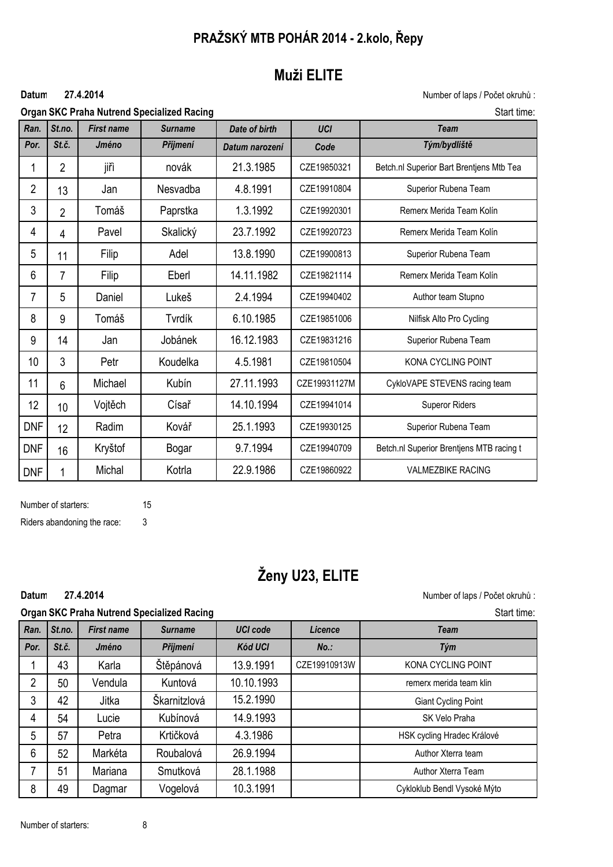# **PRAŽSKÝ MTB POHÁR 2014 - 2.kolo, Řepy**

# **Muži ELITE**

#### **27.4.2014**

Datum 27.4.2014 **Datum 27.4.2014** Mumber of laps / Počet okruhů :

|                 |                |                   | <b>Organ SKC Praha Nutrend Specialized Racing</b> |                | Start time:  |                                          |  |
|-----------------|----------------|-------------------|---------------------------------------------------|----------------|--------------|------------------------------------------|--|
| Ran.            | St.no.         | <b>First name</b> | <b>Surname</b>                                    | Date of birth  | <b>UCI</b>   | <b>Team</b>                              |  |
| Por.            | St.č.          | Jméno             | Příjmení                                          | Datum narození | Code         | Tým/bydliště                             |  |
| 1               | $\overline{2}$ | jiřì              | novák                                             | 21.3.1985      | CZE19850321  | Betch.nl Superior Bart Brentjens Mtb Tea |  |
| $\overline{2}$  | 13             | Jan               | Nesvadba                                          | 4.8.1991       | CZE19910804  | Superior Rubena Team                     |  |
| 3               | $\overline{2}$ | Tomáš             | Paprstka                                          | 1.3.1992       | CZE19920301  | Remerx Merida Team Kolín                 |  |
| 4               | 4              | Pavel             | Skalický                                          | 23.7.1992      | CZE19920723  | Remerx Merida Team Kolín                 |  |
| 5               | 11             | Filip             | Adel                                              | 13.8.1990      | CZE19900813  | Superior Rubena Team                     |  |
| $6\phantom{1}6$ | 7              | Filip             | Eberl                                             | 14.11.1982     | CZE19821114  | Remerx Merida Team Kolín                 |  |
| $\overline{7}$  | 5              | Daniel            | Lukeš                                             | 2.4.1994       | CZE19940402  | Author team Stupno                       |  |
| 8               | 9              | Tomáš             | Tvrdík                                            | 6.10.1985      | CZE19851006  | Nilfisk Alto Pro Cycling                 |  |
| 9               | 14             | Jan               | Jobánek                                           | 16.12.1983     | CZE19831216  | Superior Rubena Team                     |  |
| 10              | 3              | Petr              | Koudelka                                          | 4.5.1981       | CZE19810504  | KONA CYCLING POINT                       |  |
| 11              | 6              | Michael           | Kubín                                             | 27.11.1993     | CZE19931127M | CykloVAPE STEVENS racing team            |  |
| 12              | 10             | Vojtěch           | Císař                                             | 14.10.1994     | CZE19941014  | <b>Superor Riders</b>                    |  |
| <b>DNF</b>      | 12             | Radim             | Kovář                                             | 25.1.1993      | CZE19930125  | Superior Rubena Team                     |  |
| <b>DNF</b>      | 16             | Kryštof           | Bogar                                             | 9.7.1994       | CZE19940709  | Betch.nl Superior Brentjens MTB racing t |  |
| <b>DNF</b>      | 1              | Michal            | Kotrla                                            | 22.9.1986      | CZE19860922  | <b>VALMEZBIKE RACING</b>                 |  |

Number of starters: 15

Riders abandoning the race: 3

**27.4.2014**

# **Ženy U23, ELITE**

Datum 27.4.2014 **Datum 27.4.2014** CONSERVING SUPPOSE ON THE SAME REPORT OF LAPS AND NUMber of laps / Počet okruhů :

|                |        |                   | <b>Organ SKC Praha Nutrend Specialized Racing</b> |                 | Start time:  |                             |  |
|----------------|--------|-------------------|---------------------------------------------------|-----------------|--------------|-----------------------------|--|
| Ran.           | St.no. | <b>First name</b> | <b>Surname</b>                                    | <b>UCI code</b> | Licence      | <b>Team</b>                 |  |
| Por.           | St.č.  | Jméno             | Příjmení                                          | <b>Kód UCI</b>  | $No.$ :      | Tým                         |  |
|                | 43     | Karla             | Štěpánová                                         | 13.9.1991       | CZE19910913W | KONA CYCLING POINT          |  |
| $\overline{2}$ | 50     | Vendula           | Kuntová                                           | 10.10.1993      |              | remerx merida team klin     |  |
| 3              | 42     | Jitka             | Škarnitzlová                                      | 15.2.1990       |              | <b>Giant Cycling Point</b>  |  |
| 4              | 54     | Lucie             | Kubínová                                          | 14.9.1993       |              | SK Velo Praha               |  |
| 5              | 57     | Petra             | Krtičková                                         | 4.3.1986        |              | HSK cycling Hradec Králové  |  |
| 6              | 52     | Markéta           | Roubalová                                         | 26.9.1994       |              | Author Xterra team          |  |
| 7              | 51     | Mariana           | Smutková                                          | 28.1.1988       |              | Author Xterra Team          |  |
| 8              | 49     | Dagmar            | Vogelová                                          | 10.3.1991       |              | Cykloklub Bendl Vysoké Mýto |  |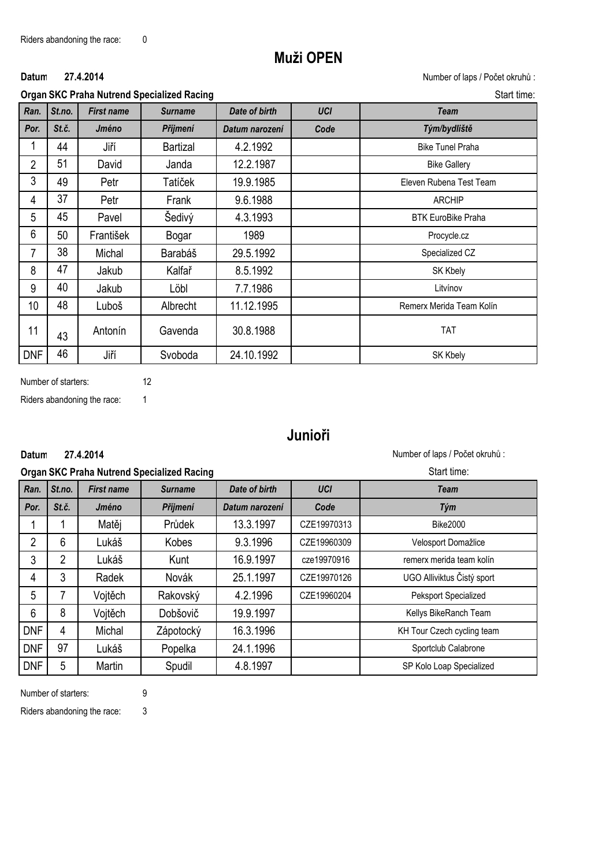### **Muži OPEN**

### **27.4.2014**

**Organ SKC Praha Nutrend Specialized Racing Start time:** Start time:

Datum 27.4.2014 **Datum 27.4.2014** Mumber of laps / Počet okruhů :

|                |        |                   | siyan ono i Tana Nationa opocializoa Nacing | טנטו נווווט.   |            |                           |
|----------------|--------|-------------------|---------------------------------------------|----------------|------------|---------------------------|
| Ran.           | St.no. | <b>First name</b> | <b>Surname</b>                              | Date of birth  | <b>UCI</b> | <b>Team</b>               |
| Por.           | St.č.  | Jméno             | Příjmení                                    | Datum narození | Code       | Tým/bydliště              |
| 1              | 44     | Jiří              | Bartizal                                    | 4.2.1992       |            | <b>Bike Tunel Praha</b>   |
| $\overline{2}$ | 51     | David             | Janda                                       | 12.2.1987      |            | <b>Bike Gallery</b>       |
| 3              | 49     | Petr              | Tatíček                                     | 19.9.1985      |            | Eleven Rubena Test Team   |
| 4              | 37     | Petr              | Frank                                       | 9.6.1988       |            | <b>ARCHIP</b>             |
| 5              | 45     | Pavel             | Šedivý                                      | 4.3.1993       |            | <b>BTK EuroBike Praha</b> |
| 6              | 50     | František         | Bogar                                       | 1989           |            | Procycle.cz               |
| $\overline{7}$ | 38     | Michal            | Barabáš                                     | 29.5.1992      |            | Specialized CZ            |
| 8              | 47     | Jakub             | Kalfař                                      | 8.5.1992       |            | SK Kbely                  |
| 9              | 40     | Jakub             | Löbl                                        | 7.7.1986       |            | Litvínov                  |
| 10             | 48     | Luboš             | Albrecht                                    | 11.12.1995     |            | Remerx Merida Team Kolín  |
| 11             | 43     | Antonín           | Gavenda                                     | 30.8.1988      |            | <b>TAT</b>                |
| <b>DNF</b>     | 46     | Jiří              | Svoboda                                     | 24.10.1992     |            | SK Kbely                  |

Number of starters: 12

Riders abandoning the race: 1

**27.4.2014**

# **Junioři**

Datum 27.4.2014 **Datum 27.4.2014** CONSERVING SUPPOSE ON MUMBER OF LAPS AND NUMBER OF Laps / Počet okruhů :

|                |                |                   | <b>Organ SKC Praha Nutrend Specialized Racing</b> | Start time:    |             |                            |
|----------------|----------------|-------------------|---------------------------------------------------|----------------|-------------|----------------------------|
| Ran.           | St.no.         | <b>First name</b> | <b>Surname</b>                                    | Date of birth  | UCI         | Team                       |
| Por.           | St.č.          | Jméno             | Příjmení                                          | Datum narození | Code        | Tým                        |
|                |                | Matěj             | Průdek                                            | 13.3.1997      | CZE19970313 | <b>Bike2000</b>            |
| $\overline{2}$ | 6              | Lukáš             | Kobes                                             | 9.3.1996       | CZE19960309 | Velosport Domažlice        |
| 3              | $\overline{2}$ | Lukáš             | Kunt                                              | 16.9.1997      | cze19970916 | remerx merida team kolín   |
| 4              | 3              | Radek             | Novák                                             | 25.1.1997      | CZE19970126 | UGO Alliviktus Čistý sport |
| 5              | 7              | Vojtěch           | Rakovský                                          | 4.2.1996       | CZE19960204 | Peksport Specialized       |
| 6              | 8              | Vojtěch           | <b>Dobšovič</b>                                   | 19.9.1997      |             | Kellys BikeRanch Team      |
| <b>DNF</b>     | 4              | Michal            | Zápotocký                                         | 16.3.1996      |             | KH Tour Czech cycling team |
| <b>DNF</b>     | 97             | Lukáš             | Popelka                                           | 24.1.1996      |             | Sportclub Calabrone        |
| <b>DNF</b>     | 5              | Martin            | Spudil                                            | 4.8.1997       |             | SP Kolo Loap Specialized   |

Number of starters: 9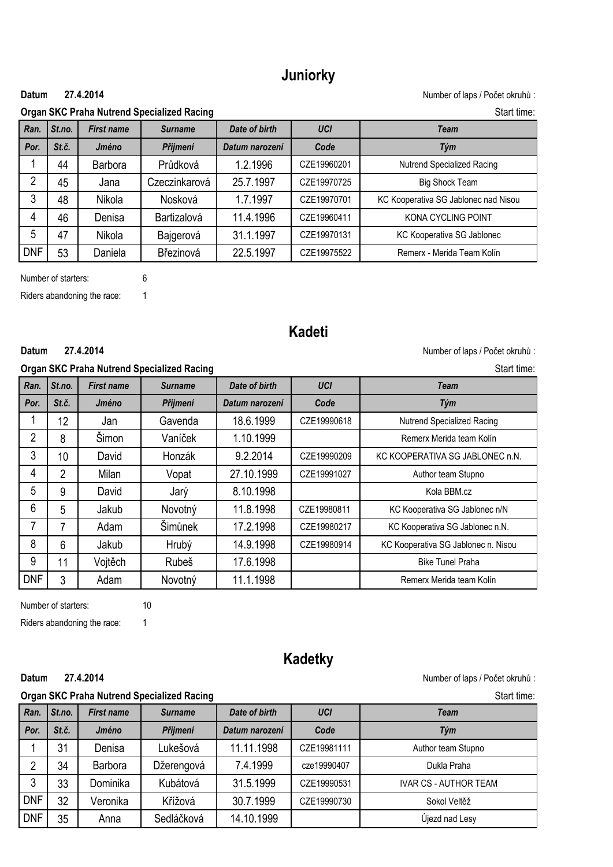# **Juniorky**

#### **27.4.2014**

**Datum:** Number of laps / Počet okruhů :

| <b>Organ SKC Praha Nutrend Specialized Racing</b><br>Start time: |        |                   |                |                |             |                                      |  |  |
|------------------------------------------------------------------|--------|-------------------|----------------|----------------|-------------|--------------------------------------|--|--|
| Ran.                                                             | St.no. | <b>First name</b> | <b>Surname</b> | Date of birth  | <b>UCI</b>  | <b>Team</b>                          |  |  |
| Por.                                                             | St.č.  | Jméno             | Příjmení       | Datum narození | Code        | Tým                                  |  |  |
|                                                                  | 44     | Barbora           | Průdková       | 1.2.1996       | CZE19960201 | Nutrend Specialized Racing           |  |  |
| 2                                                                | 45     | Jana              | Czeczinkarová  | 25.7.1997      | CZE19970725 | <b>Big Shock Team</b>                |  |  |
| 3                                                                | 48     | Nikola            | Nosková        | 1.7.1997       | CZE19970701 | KC Kooperativa SG Jablonec nad Nisou |  |  |
| 4                                                                | 46     | Denisa            | Bartizalová    | 11.4.1996      | CZE19960411 | KONA CYCLING POINT                   |  |  |
| 5                                                                | 47     | <b>Nikola</b>     | Bajgerová      | 31.1.1997      | CZE19970131 | KC Kooperativa SG Jablonec           |  |  |
| <b>DNF</b>                                                       | 53     | Daniela           | Březinová      | 22.5.1997      | CZE19975522 | Remerx - Merida Team Kolín           |  |  |

Number of starters: 6

Riders abandoning the race: 1

**27.4.2014**

# **Kadeti**

#### **Datum 27.4.2014 Datum 27.4.2014 Datum 27.4.2014 Datum 27.4.2014 Datum Datum Datum Datum Datum Datum Datum D**

|                |                 |                   | <b>Organ SKC Praha Nutrend Specialized Racing</b> | Start time:    |             |                                     |
|----------------|-----------------|-------------------|---------------------------------------------------|----------------|-------------|-------------------------------------|
| Ran.           | St.no.          | <b>First name</b> | <b>Surname</b>                                    | Date of birth  | <b>UCI</b>  | <b>Team</b>                         |
| Por.           | St.č.           | Jméno             | Příjmení                                          | Datum narození | Code        | Tým                                 |
|                | 12 <sup>°</sup> | Jan               | Gavenda                                           | 18.6.1999      | CZE19990618 | Nutrend Specialized Racing          |
| $\overline{2}$ | 8               | Šimon             | Vaníček                                           | 1.10.1999      |             | Remerx Merida team Kolín            |
| 3              | 10              | David             | Honzák                                            | 9.2.2014       | CZE19990209 | KC KOOPERATIVA SG JABLONEC n.N.     |
| 4              | 2               | Milan             | Vopat                                             | 27.10.1999     | CZE19991027 | Author team Stupno                  |
| 5              | 9               | David             | Jarý                                              | 8.10.1998      |             | Kola BBM.cz                         |
| 6              | 5               | Jakub             | Novotný                                           | 11.8.1998      | CZE19980811 | KC Kooperativa SG Jablonec n/N      |
| 7              | 7               | Adam              | Šimůnek                                           | 17.2.1998      | CZE19980217 | KC Kooperativa SG Jablonec n.N.     |
| 8              | 6               | Jakub             | Hrubý                                             | 14.9.1998      | CZE19980914 | KC Kooperativa SG Jablonec n. Nisou |
| 9              | 11              | Vojtěch           | Rubeš                                             | 17.6.1998      |             | <b>Bike Tunel Praha</b>             |
| <b>DNF</b>     | 3               | Adam              | Novotný                                           | 11.1.1998      |             | Remerx Merida team Kolín            |

Number of starters: 10

Riders abandoning the race: 1

### **Kadetky**

Datum 27.4.2014 **Datum 27.4.2014** Mumber of laps / Počet okruhů :

#### **27.4.2014**

**Organ SKC Praha Nutrend Specialized Racing Start time:** Start time: *Ran. St.no. First name Surname Date of birth UCI Team Por. St.č. Jméno Příjmení Datum narození Code Tým* 1 | 31 | Denisa | Lukešová | 11.11.1998 | CZE19981111 | Author team Stupno 2 34 Barbora Džerengová 7.4.1999 cze19990407 Dukla Praha 3 33 Dominika Kubátová 31.5.1999 CZE19990531 I IVAR CS - AUTHOR TEAM DNF 32 Veronika Křížová 130.7.1999 CZE19990730 Sokol Veltěž DNF 35 Anna Sedláčková 14.10.1999 CDNF 35 Újezd nad Lesy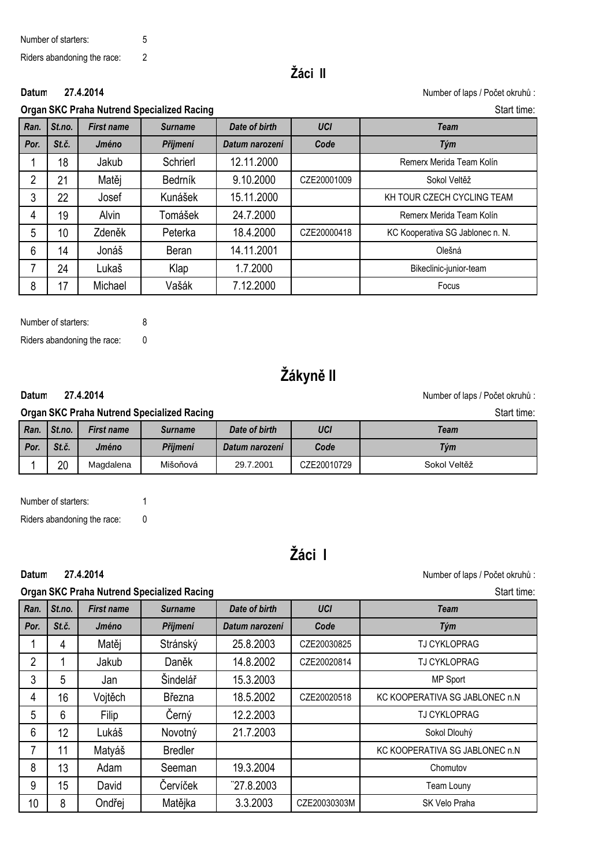# **Žáci II**

**27.4.2014**

Datum 27.4.2014 **Datum 27.4.2014** Mumber of laps / Počet okruhů :

## **Organ SKC Praha Nutrend Specialized Racing Start time:** Start time:

| Ran. | St.no. | <b>First name</b> | <b>Surname</b> | Date of birth  | <b>UCI</b>  | <b>Team</b>                      |
|------|--------|-------------------|----------------|----------------|-------------|----------------------------------|
| Por. | St.č.  | Jméno             | Příjmení       | Datum narození | Code        | Tým                              |
|      | 18     | Jakub             | Schrierl       | 12.11.2000     |             | Remerx Merida Team Kolín         |
| 2    | 21     | Matěj             | Bedrník        | 9.10.2000      | CZE20001009 | Sokol Veltěž                     |
| 3    | 22     | Josef             | Kunášek        | 15.11.2000     |             | KH TOUR CZECH CYCLING TEAM       |
| 4    | 19     | Alvin             | Tomášek        | 24.7.2000      |             | Remerx Merida Team Kolín         |
| 5    | 10     | Zdeněk            | Peterka        | 18.4.2000      | CZE20000418 | KC Kooperativa SG Jablonec n. N. |
| 6    | 14     | Jonáš             | Beran          | 14.11.2001     |             | Olešná                           |
| 7    | 24     | Lukaš             | Klap           | 1.7.2000       |             | Bikeclinic-junior-team           |
| 8    | 17     | Michael           | Vašák          | 7.12.2000      |             | Focus                            |

Number of starters: 8 Riders abandoning the race: 0

# **Žákyně II**

### **27.4.2014**

**Datum 27.4.2014 Datum 27.4.2014 Datum 27.4.2014 Datum 27.4.2014 Datum Datum Datum Datum Datum Datum Datum D** 

| <b>Organ SKC Praha Nutrend Specialized Racing</b><br>Start time: |                                                                               |           |          |                |             |              |  |
|------------------------------------------------------------------|-------------------------------------------------------------------------------|-----------|----------|----------------|-------------|--------------|--|
| Ran.                                                             | UCI<br>St.no.<br>Date of birth<br><b>First name</b><br>Team<br><b>Surname</b> |           |          |                |             |              |  |
| Por.                                                             | St.č.                                                                         | Jméno     | Příimení | Datum narození | Code        | Tým          |  |
|                                                                  | 20                                                                            | Magdalena | Mišoňová | 29.7.2001      | CZE20010729 | Sokol Veltěž |  |

Number of starters: 1

Riders abandoning the race: 0

**27.4.2014**

# **Žáci I**

Datum 27.4.2014 **Datum 27.4.2014** CONSERVING SUPPOSED AT A SUPPOSED VALUE OF LAPS AND NUMber of laps / Počet okruhů :

### **Organ SKC Praha Nutrend Specialized Racing Start time:** Start time: Start time:

| Ran.           | St.no.          | <b>First name</b> | <b>Surname</b> | Date of birth  | <b>UCI</b>   | <b>Team</b>                    |
|----------------|-----------------|-------------------|----------------|----------------|--------------|--------------------------------|
| Por.           | St.č.           | Jméno             | Příjmení       | Datum narození | Code         | Tým                            |
|                | 4               | Matěj             | Stránský       | 25.8.2003      | CZE20030825  | <b>TJ CYKLOPRAG</b>            |
| $\overline{2}$ |                 | Jakub             | Daněk          | 14.8.2002      | CZE20020814  | <b>TJ CYKLOPRAG</b>            |
| 3              | 5               | Jan               | Šindelář       | 15.3.2003      |              | MP Sport                       |
| 4              | 16 <sup>°</sup> | Vojtěch           | Března         | 18.5.2002      | CZE20020518  | KC KOOPERATIVA SG JABLONEC n.N |
| 5              | 6               | Filip             | Černý          | 12.2.2003      |              | <b>TJ CYKLOPRAG</b>            |
| 6              | 12              | Lukáš             | Novotný        | 21.7.2003      |              | Sokol Dlouhý                   |
| 7              | 11              | Matyáš            | <b>Bredler</b> |                |              | KC KOOPERATIVA SG JABLONEC n.N |
| 8              | 13              | Adam              | Seeman         | 19.3.2004      |              | Chomutov                       |
| 9              | 15              | David             | Červíček       | 727.8.2003     |              | Team Louny                     |
| 10             | 8               | Ondřej            | Matějka        | 3.3.2003       | CZE20030303M | SK Velo Praha                  |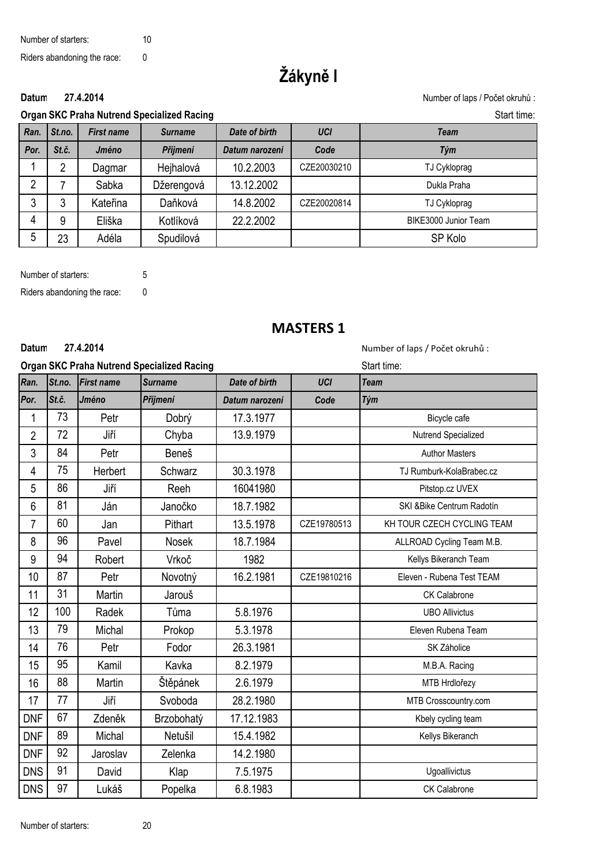# **Žákyně I**

Datum 27.4.2014 **Datum 27.4.2014** Mumber of laps / Počet okruhů :

#### **27.4.2014**

**Organ SKC Praha Nutrend Specialized Racing Start time:** Start time:

| Ran. | St.no. | <b>First name</b> | <b>Surname</b> | Date of birth  | <b>UCI</b>  | Team                 |
|------|--------|-------------------|----------------|----------------|-------------|----------------------|
| Por. | St.č.  | Jméno             | Příjmení       | Datum narození | Code        | Tým                  |
|      | 2      | Dagmar            | Hejhalová      | 10.2.2003      | CZE20030210 | TJ Cykloprag         |
| C    |        | Sabka             | Džerengová     | 13.12.2002     |             | Dukla Praha          |
| 3    | 3      | Kateřina          | Daňková        | 14.8.2002      | CZE20020814 | TJ Cykloprag         |
| 4    | 9      | Eliška            | Kotlíková      | 22.2.2002      |             | BIKE3000 Junior Team |
| 5    | 23     | Adéla             | Spudilová      |                |             | SP Kolo              |

Number of starters: 5 Riders abandoning the race: 0

### **MASTERS 1**

#### **27.4.2014**

Datum 27.4.2014 **Datum 27.4.2014** and the set of laps / Počet okruhů :

|                |        |                   | <b>Organ SKC Praha Nutrend Specialized Racing</b> | Start time:    |             |                            |
|----------------|--------|-------------------|---------------------------------------------------|----------------|-------------|----------------------------|
| Ran.           | St.no. | <b>First name</b> | <b>Surname</b>                                    | Date of birth  | <b>UCI</b>  | <b>Team</b>                |
| Por.           | St.č.  | Jméno             | Příjmení                                          | Datum narození | Code        | Tým                        |
| $\mathbf{1}$   | 73     | Petr              | Dobrý                                             | 17.3.1977      |             | Bicycle cafe               |
| $\overline{2}$ | 72     | Jiří              | Chyba                                             | 13.9.1979      |             | Nutrend Specialized        |
| $\mathfrak{Z}$ | 84     | Petr              | Beneš                                             |                |             | <b>Author Masters</b>      |
| 4              | 75     | Herbert           | Schwarz                                           | 30.3.1978      |             | TJ Rumburk-KolaBrabec.cz   |
| 5              | 86     | Jiří              | Reeh                                              | 16041980       |             | Pitstop.cz UVEX            |
| $6\,$          | 81     | Ján               | Janočko                                           | 18.7.1982      |             | SKI &Bike Centrum Radotín  |
| $\overline{7}$ | 60     | Jan               | Pithart                                           | 13.5.1978      | CZE19780513 | KH TOUR CZECH CYCLING TEAM |
| 8              | 96     | Pavel             | Nosek                                             | 18.7.1984      |             | ALLROAD Cycling Team M.B.  |
| $9\,$          | 94     | Robert            | Vrkoč                                             | 1982           |             | Kellys Bikeranch Team      |
| 10             | 87     | Petr              | Novotný                                           | 16.2.1981      | CZE19810216 | Eleven - Rubena Test TEAM  |
| 11             | 31     | Martin            | Jarouš                                            |                |             | CK Calabrone               |
| 12             | 100    | Radek             | Tůma                                              | 5.8.1976       |             | <b>UBO Allivictus</b>      |
| 13             | 79     | Michal            | Prokop                                            | 5.3.1978       |             | Eleven Rubena Team         |
| 14             | 76     | Petr              | Fodor                                             | 26.3.1981      |             | SK Záholice                |
| 15             | 95     | Kamil             | Kavka                                             | 8.2.1979       |             | M.B.A. Racing              |
| 16             | 88     | Martin            | Štěpánek                                          | 2.6.1979       |             | MTB Hrdlořezy              |
| 17             | 77     | Jiří              | Svoboda                                           | 28.2.1980      |             | MTB Crosscountry.com       |
| <b>DNF</b>     | 67     | Zdeněk            | Brzobohatý                                        | 17.12.1983     |             | Kbely cycling team         |
| <b>DNF</b>     | 89     | Michal            | Netušil                                           | 15.4.1982      |             | Kellys Bikeranch           |
| <b>DNF</b>     | 92     | Jaroslav          | Zelenka                                           | 14.2.1980      |             |                            |
| <b>DNS</b>     | 91     | David             | Klap                                              | 7.5.1975       |             | Ugoallivictus              |
| <b>DNS</b>     | 97     | Lukáš             | Popelka                                           | 6.8.1983       |             | CK Calabrone               |

Number of starters: 20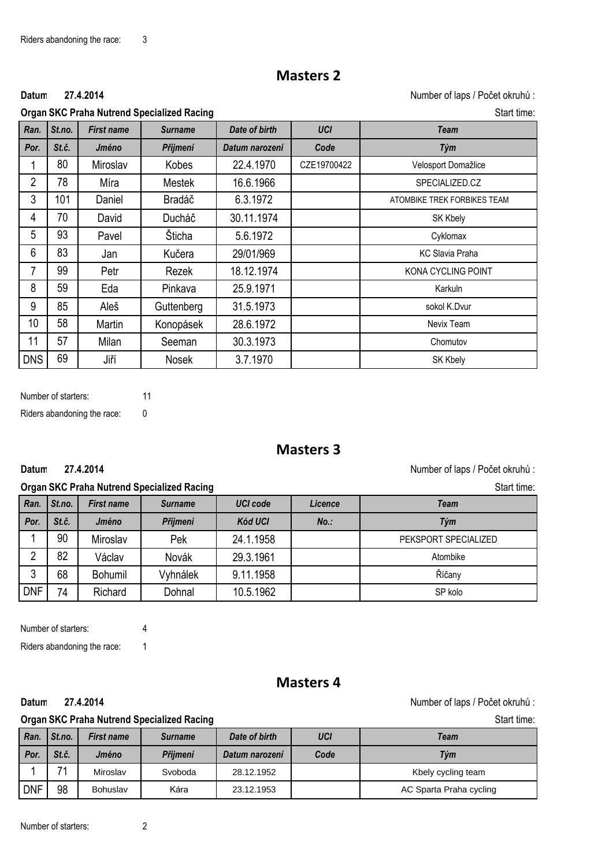### **Masters 2**

#### **27.4.2014**

**Datum:** Number of laps / Počet okruhů :

|      |        |                   | <b>Organ SKC Praha Nutrend Specialized Racing</b> | Start time:    |             |                             |
|------|--------|-------------------|---------------------------------------------------|----------------|-------------|-----------------------------|
| Ran. | St.no. | <b>First name</b> | <b>Surname</b>                                    | Date of birth  | <b>UCI</b>  | <b>Team</b>                 |
| Por. | St.č.  | Jméno             | Příjmení                                          | Datum narození | Code        | Tým                         |
|      | 80     | Miroslav          | Kobes                                             | 22.4.1970      | CZE19700422 | Velosport Domažlice         |
| 2    | 78     | Míra              | <b>Mestek</b>                                     | 16.6.1966      |             | SPECIALIZED.CZ              |
| 3    | 101    | Daniel            | Bradáč                                            | 6.3.1972       |             | ATOMBIKE TREK FORBIKES TEAM |
| 4    | 70     | David             | Ducháč                                            | 30.11.1974     |             | <b>SK Kbely</b>             |
| 5    | 93     | Pavel             | Šticha                                            | 5.6.1972       |             | Cyklomax                    |
| 6    | 83     | Jan               | Kučera                                            | 29/01/969      |             | <b>KC Slavia Praha</b>      |
| 7    | 99     | Petr              | Rezek                                             | 18.12.1974     |             | KONA CYCLING POINT          |
| 8    | 59     | Eda               | Pinkava                                           | 25.9.1971      |             | Karkuln                     |
| 9    | 85     | Aleš              | Guttenberg                                        | 31.5.1973      |             | sokol K.Dvur                |
| 10   | 58     | Martin            | Konopásek                                         | 28.6.1972      |             | Nevix Team                  |

11 57 Milan Seeman 30.3.1973 Chomutov DNS | 69 | Jiří | Nosek | 3.7.1970 | | | SK Kbely

Number of starters: 11 Riders abandoning the race: 0

**27.4.2014**

### **Masters 3**

**Datum:** Number of laps / Počet okruhů :

#### **Organ SKC Praha Nutrend Specialized Racing Start time:** Start time: Start time: Start time: Start time: Start time: Start time: Start time: Start time: Start time: Start time: Start time: Start time: Start time: Start tim

*Ran. St.no. First name Surname UCI code Licence Team Por. St.č. Jméno Příjmení Kód UCI No.: Tým* 1 90 Miroslav Pek 1 24.1.1958 PEKSPORT SPECIALIZED 2 | 82 | Václav | Novák | 29.3.1961 | | | | | Atombike 3 68 Bohumil Vyhnálek 9.11.1958 Říčany DNF 74 Richard Dohnal 10.5.1962 New SP kolo

Number of starters: 4

Riders abandoning the race: 1

**27.4.2014**

### **Masters 4**

**Datum:** Number of laps / Počet okruhů :

### **Organ SKC Praha Nutrend Specialized Racing Start time:** Start time:

| Ran.       | St.no. | <b>First name</b> | <b>Surname</b> | Date of birth  | UCI  | Team                    |
|------------|--------|-------------------|----------------|----------------|------|-------------------------|
| Por.       | St.č.  | Jméno             | Příimení       | Datum narození | Code | Tým                     |
|            | 74     | Miroslav          | Svoboda        | 28.12.1952     |      | Kbely cycling team      |
| <b>DNF</b> | 98     | Bohuslav          | Kára           | 23.12.1953     |      | AC Sparta Praha cycling |

Number of starters: 2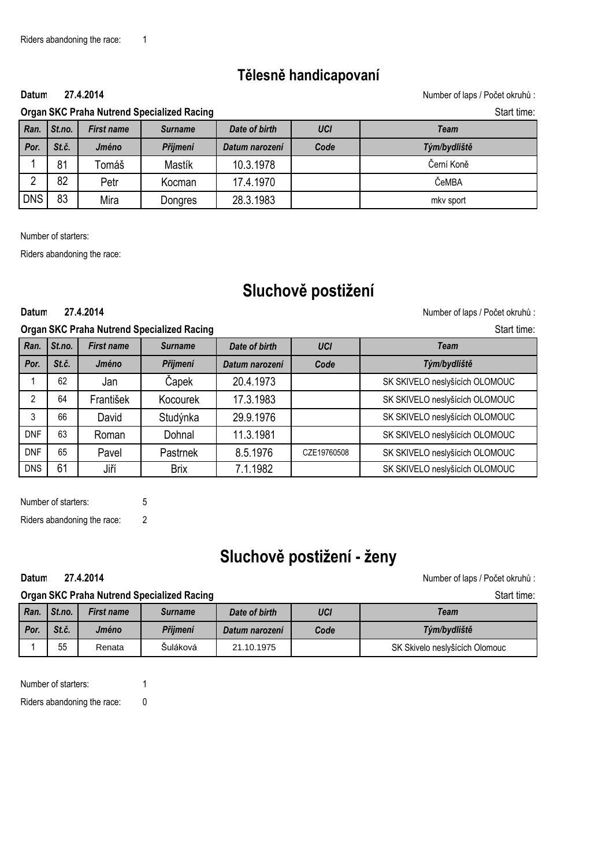**27.4.2014**

# **Tělesně handicapovaní**

Datum 27.4.2014 **Datum 27.4.2014 Number of laps / Počet okruhů** :

| <b>Organ SKC Praha Nutrend Specialized Racing</b> |          |                   |         |               | Start time. |      |
|---------------------------------------------------|----------|-------------------|---------|---------------|-------------|------|
| Ran.                                              | ' St.no. | <b>First name</b> | Surname | Date of birth | UCI         | Team |

| Ran.       | St.no. | <b>First name</b> | <b>Surname</b> | Date of birth  | <b>UCI</b> | Team         |
|------------|--------|-------------------|----------------|----------------|------------|--------------|
| Por.       | St.č.  | Jméno             | Příjmení       | Datum narození | Code       | Tým/bydliště |
|            | 81     | Гоmáš             | Mastík         | 10.3.1978      |            | Černí Koně   |
| ∩          | 82     | Petr              | Kocman         | 17.4.1970      |            | ČeMBA        |
| <b>DNS</b> | 83     | Mira              | Dongres        | 28.3.1983      |            | mky sport    |

Number of starters:

Riders abandoning the race:

# **Sluchově postižení**

**27.4.2014**

Datum 27.4.2014 **Datum 27.4.2014** Mumber of laps / Počet okruhů :

| <b>Organ SKC Praha Nutrend Specialized Racing</b> | Start time: |
|---------------------------------------------------|-------------|
|                                                   |             |

| Ran.       | St.no. | <b>First name</b> | <b>Surname</b> | Date of birth  | <b>UCI</b>  | <b>Team</b>                    |
|------------|--------|-------------------|----------------|----------------|-------------|--------------------------------|
| Por.       | St.č.  | Jméno             | Příjmení       | Datum narození | Code        | Tým/bydliště                   |
|            | 62     | Jan               | Čapek          | 20.4.1973      |             | SK SKIVELO neslyšících OLOMOUC |
| 2          | 64     | František         | Kocourek       | 17.3.1983      |             | SK SKIVELO neslyšících OLOMOUC |
| 3          | 66     | David             | Studýnka       | 29.9.1976      |             | SK SKIVELO neslyšících OLOMOUC |
| <b>DNF</b> | 63     | Roman             | Dohnal         | 11.3.1981      |             | SK SKIVELO neslyšících OLOMOUC |
| <b>DNF</b> | 65     | Pavel             | Pastrnek       | 8.5.1976       | CZE19760508 | SK SKIVELO neslyšících OLOMOUC |
| <b>DNS</b> | 61     | Jiří              | <b>Brix</b>    | 7.1.1982       |             | SK SKIVELO neslyšících OLOMOUC |

Number of starters: 5

Riders abandoning the race: 2

**27.4.2014**

# **Sluchově postižení - ženy**

Datum 27.4.2014 **Datum 27.4.2014** CONSERVING SUPPOSED AT A SUPPOSED VALUE OF LAPS AND NUMber of laps / Počet okruhů :

| <b>Organ SKC Praha Nutrend Specialized Racing</b> | Start time: |
|---------------------------------------------------|-------------|
|                                                   |             |

| Ran    | St.no. | <b>First name</b> | <b>Surname</b> | Date of birth  | UCI  | Team                           |
|--------|--------|-------------------|----------------|----------------|------|--------------------------------|
| l Por. | St.č.  | Jméno             | Příimení       | Datum narození | Code | Tým/bydliště                   |
|        | 55     | Renata            | Suláková       | 21.10.1975     |      | SK Skivelo neslyšících Olomouc |

Number of starters: 1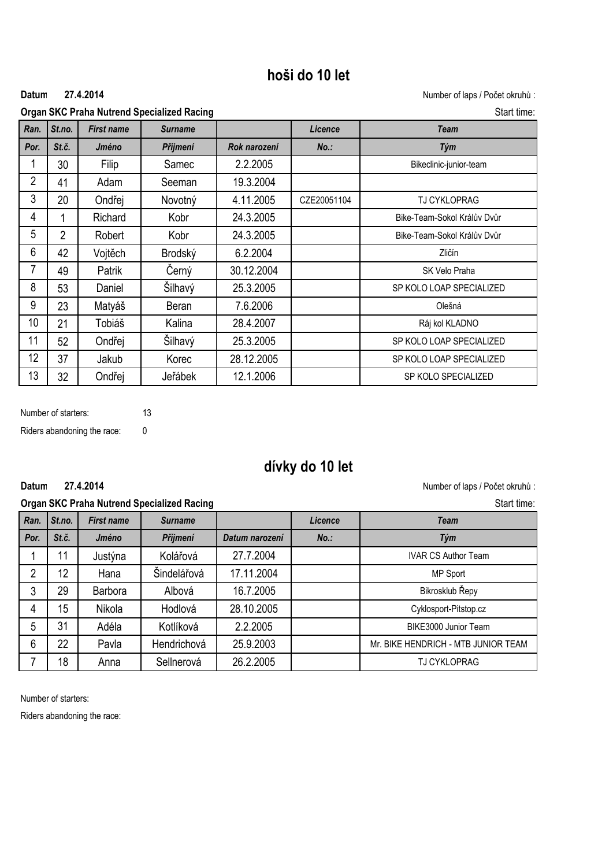# **hoši do 10 let**

#### **27.4.2014**

Datum 27.4.2014 **Datum 27.4.2014** Mumber of laps / Počet okruhů :

**Organ SKC Praha Nutrend Specialized Racing Start time:** Start time:

| Ran.           | St.no.         | <b>First name</b> | <b>Surname</b> |              | Licence     | <b>Team</b>                 |
|----------------|----------------|-------------------|----------------|--------------|-------------|-----------------------------|
| Por.           | St.č.          | Jméno             | Příjmení       | Rok narození | $No.$ :     | Tým                         |
| 1              | 30             | Filip             | Samec          | 2.2.2005     |             | Bikeclinic-junior-team      |
| $\overline{2}$ | 41             | Adam              | Seeman         | 19.3.2004    |             |                             |
| $\mathfrak{Z}$ | 20             | Ondřej            | Novotný        | 4.11.2005    | CZE20051104 | <b>TJ CYKLOPRAG</b>         |
| 4              |                | Richard           | Kobr           | 24.3.2005    |             | Bike-Team-Sokol Králův Dvůr |
| 5              | $\overline{2}$ | Robert            | Kobr           | 24.3.2005    |             | Bike-Team-Sokol Králův Dvůr |
| 6              | 42             | Vojtěch           | Brodský        | 6.2.2004     |             | Zličín                      |
| $\overline{7}$ | 49             | Patrik            | Černý          | 30.12.2004   |             | SK Velo Praha               |
| 8              | 53             | Daniel            | Šilhavý        | 25.3.2005    |             | SP KOLO LOAP SPECIALIZED    |
| 9              | 23             | Matyáš            | Beran          | 7.6.2006     |             | Olešná                      |
| 10             | 21             | Tobiáš            | Kalina         | 28.4.2007    |             | Ráj kol KLADNO              |
| 11             | 52             | Ondřej            | Šilhavý        | 25.3.2005    |             | SP KOLO LOAP SPECIALIZED    |
| 12             | 37             | Jakub             | Korec          | 28.12.2005   |             | SP KOLO LOAP SPECIALIZED    |
| 13             | 32             | Ondřej            | Jeřábek        | 12.1.2006    |             | SP KOLO SPECIALIZED         |

Number of starters: 13 Riders abandoning the race: 0

**27.4.2014**

# **dívky do 10 let**

Datum 27.4.2014 **Datum 27.4.2014** CONSERVING SUPPOSED AT A SUPPOSED VALUE OF LAPS AND NUMber of laps / Počet okruhů :

### **Organiser: SKC Praha Nutrend Specialized Racing Start time:** Start time: Start time: Start time: Start time: Start time: Start time: Start time: Start time: Start time: Start time: Start time: Start time: Start time: Star

| St.no.<br>Licence<br>Ran.<br><b>Team</b><br><b>First name</b><br><b>Surname</b><br>St.č.<br>Por.<br>Jméno<br>Příjmení<br>$No.$ :<br>Tým<br>Datum narození<br>27.7.2004<br>Kolářová<br>11<br>Justýna<br><b>IVAR CS Author Team</b><br>Šindelářová<br>12<br>17.11.2004<br>$\overline{2}$<br>Hana<br>MP Sport<br>16.7.2005<br>29<br>Bikrosklub Řepy<br>3<br>Albová<br><b>Barbora</b><br>15<br>28.10.2005<br>Nikola<br>Hodlová<br>Cyklosport-Pitstop.cz<br>4<br>31<br>5<br>2.2.2005<br>Kotlíková<br>Adéla<br>BIKE3000 Junior Team<br>22<br>25.9.2003<br>Pavla<br>Hendrichová<br>$6\phantom{1}6$<br>Mr. BIKE HENDRICH - MTB JUNIOR TEAM<br>18<br>26.2.2005<br>Sellnerová<br><b>TJ CYKLOPRAG</b><br>Anna | Organ SKC Frana Nutrenu Specialized Racing |  |  |  |  | Stait tille. |
|----------------------------------------------------------------------------------------------------------------------------------------------------------------------------------------------------------------------------------------------------------------------------------------------------------------------------------------------------------------------------------------------------------------------------------------------------------------------------------------------------------------------------------------------------------------------------------------------------------------------------------------------------------------------------------------------------|--------------------------------------------|--|--|--|--|--------------|
|                                                                                                                                                                                                                                                                                                                                                                                                                                                                                                                                                                                                                                                                                                    |                                            |  |  |  |  |              |
|                                                                                                                                                                                                                                                                                                                                                                                                                                                                                                                                                                                                                                                                                                    |                                            |  |  |  |  |              |
|                                                                                                                                                                                                                                                                                                                                                                                                                                                                                                                                                                                                                                                                                                    |                                            |  |  |  |  |              |
|                                                                                                                                                                                                                                                                                                                                                                                                                                                                                                                                                                                                                                                                                                    |                                            |  |  |  |  |              |
|                                                                                                                                                                                                                                                                                                                                                                                                                                                                                                                                                                                                                                                                                                    |                                            |  |  |  |  |              |
|                                                                                                                                                                                                                                                                                                                                                                                                                                                                                                                                                                                                                                                                                                    |                                            |  |  |  |  |              |
|                                                                                                                                                                                                                                                                                                                                                                                                                                                                                                                                                                                                                                                                                                    |                                            |  |  |  |  |              |
|                                                                                                                                                                                                                                                                                                                                                                                                                                                                                                                                                                                                                                                                                                    |                                            |  |  |  |  |              |
|                                                                                                                                                                                                                                                                                                                                                                                                                                                                                                                                                                                                                                                                                                    |                                            |  |  |  |  |              |

Number of starters: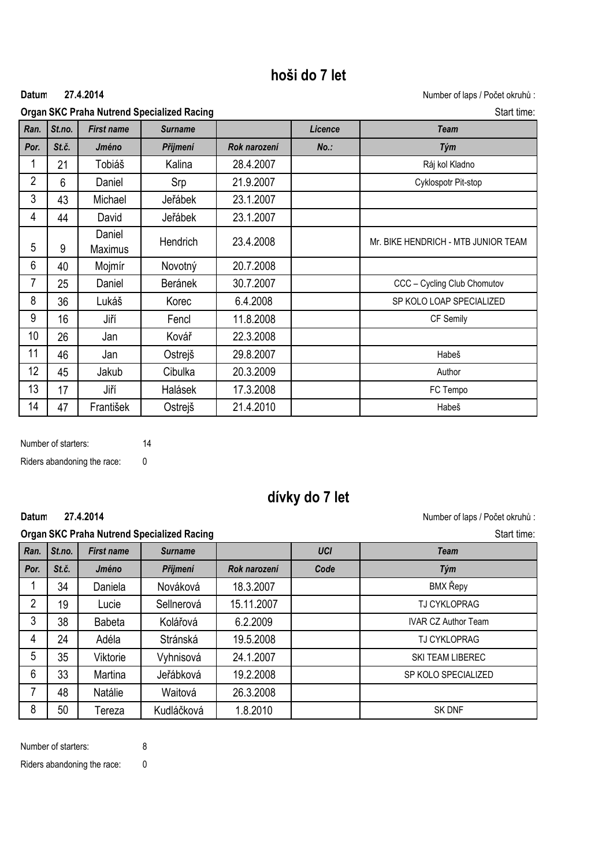# **hoši do 7 let**

#### **27.4.2014**

Datum 27.4.2014 **Datum 27.4.2014** Mumber of laps / Počet okruhů :

| <b>Organ SKC Praha Nutrend Specialized Racing</b> | Start time: |
|---------------------------------------------------|-------------|
|---------------------------------------------------|-------------|

|                |        |                          | <b>Priviliana national opocialized nacing</b> |              |         |                                     |
|----------------|--------|--------------------------|-----------------------------------------------|--------------|---------|-------------------------------------|
| Ran.           | St.no. | <b>First name</b>        | <b>Surname</b>                                |              | Licence | <b>Team</b>                         |
| Por.           | St.č.  | Jméno                    | Příjmení                                      | Rok narození | $No.$ : | Tým                                 |
| 1              | 21     | Tobiáš                   | Kalina                                        | 28.4.2007    |         | Ráj kol Kladno                      |
| $\overline{2}$ | 6      | Daniel                   | Srp                                           | 21.9.2007    |         | Cyklospotr Pit-stop                 |
| 3              | 43     | Michael                  | Jeřábek                                       | 23.1.2007    |         |                                     |
| 4              | 44     | David                    | Jeřábek                                       | 23.1.2007    |         |                                     |
| 5              | 9      | Daniel<br><b>Maximus</b> | Hendrich                                      | 23.4.2008    |         | Mr. BIKE HENDRICH - MTB JUNIOR TEAM |
| 6              | 40     | Mojmír                   | Novotný                                       | 20.7.2008    |         |                                     |
| 7              | 25     | Daniel                   | Beránek                                       | 30.7.2007    |         | CCC - Cycling Club Chomutov         |
| 8              | 36     | Lukáš                    | Korec                                         | 6.4.2008     |         | SP KOLO LOAP SPECIALIZED            |
| 9              | 16     | Jiří                     | Fencl                                         | 11.8.2008    |         | CF Semily                           |
| 10             | 26     | Jan                      | Kovář                                         | 22.3.2008    |         |                                     |
| 11             | 46     | Jan                      | Ostrejš                                       | 29.8.2007    |         | Habeš                               |
| 12             | 45     | Jakub                    | Cibulka                                       | 20.3.2009    |         | Author                              |
| 13             | 17     | Jiří                     | Halásek                                       | 17.3.2008    |         | FC Tempo                            |
| 14             | 47     | František                | Ostrejš                                       | 21.4.2010    |         | Habeš                               |

Number of starters: 14 Riders abandoning the race: 0

# **dívky do 7 let**

**27.4.2014**

Datum 27.4.2014 **Datum 27.4.2014 Number of laps / Počet okruhů** :

|                |        |                   | <b>Organ SKC Praha Nutrend Specialized Racing</b> |              |            | Start time:                |
|----------------|--------|-------------------|---------------------------------------------------|--------------|------------|----------------------------|
| Ran.           | St.no. | <b>First name</b> | <b>Surname</b>                                    |              | <b>UCI</b> | <b>Team</b>                |
| Por.           | St.č.  | Jméno             | Příjmení                                          | Rok narození | Code       | Tým                        |
|                | 34     | Daniela           | Nováková                                          | 18.3.2007    |            | BMX Řepy                   |
| $\overline{2}$ | 19     | Lucie             | Sellnerová                                        | 15.11.2007   |            | <b>TJ CYKLOPRAG</b>        |
| 3              | 38     | <b>Babeta</b>     | Kolářová                                          | 6.2.2009     |            | <b>IVAR CZ Author Team</b> |
| 4              | 24     | Adéla             | Stránská                                          | 19.5.2008    |            | <b>TJ CYKLOPRAG</b>        |
| 5              | 35     | Viktorie          | Vyhnisová                                         | 24.1.2007    |            | SKI TEAM LIBEREC           |
| 6              | 33     | Martina           | Jeřábková                                         | 19.2.2008    |            | SP KOLO SPECIALIZED        |
| 7              | 48     | Natálie           | Waitová                                           | 26.3.2008    |            |                            |
| 8              | 50     | Tereza            | Kudláčková                                        | 1.8.2010     |            | <b>SK DNF</b>              |

Number of starters: 8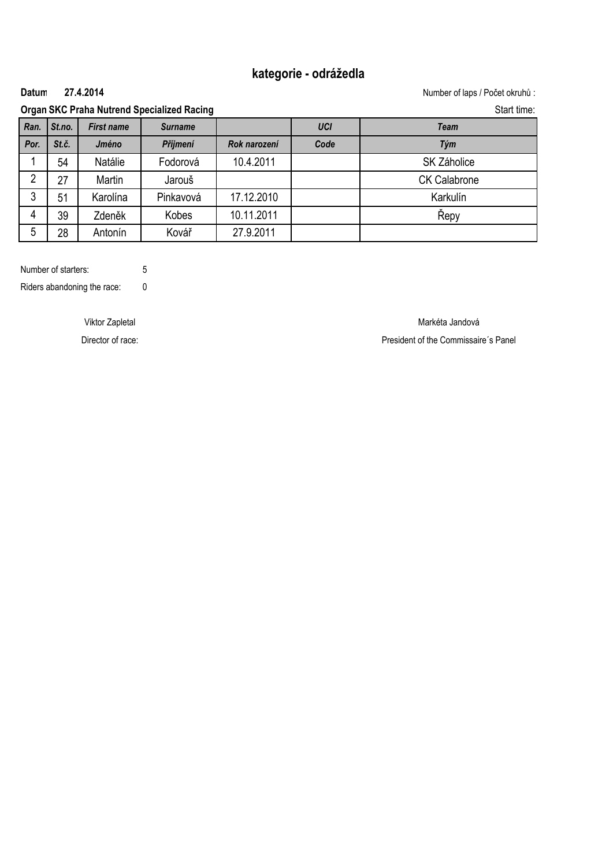### **kategorie - odrážedla**

#### **27.4.2014**

Datum 27.4.2014 **Datum 27.4.2014** Mumber of laps / Počet okruhů :

### **Organ SKC Praha Nutrend Specialized Racing Start time:** Start time:

| Ran. | St.no. | <b>First name</b> | <b>Surname</b> |              | <b>UCI</b> | Team                |
|------|--------|-------------------|----------------|--------------|------------|---------------------|
| Por. | St.č.  | Jméno             | Příjmení       | Rok narození | Code       | Tým                 |
|      | 54     | Natálie           | Fodorová       | 10.4.2011    |            | SK Záholice         |
| ∩    | 27     | Martin            | Jarouš         |              |            | <b>CK Calabrone</b> |
| 3    | 51     | Karolína          | Pinkavová      | 17.12.2010   |            | Karkulín            |
| 4    | 39     | Zdeněk            | Kobes          | 10.11.2011   |            | Repy                |
| 5    | 28     | Antonín           | Kovář          | 27.9.2011    |            |                     |

Number of starters: 5 Riders abandoning the race: 0

Viktor Zapletal Markéta Jandová Director of race: **President of the Commissaire**'s Panel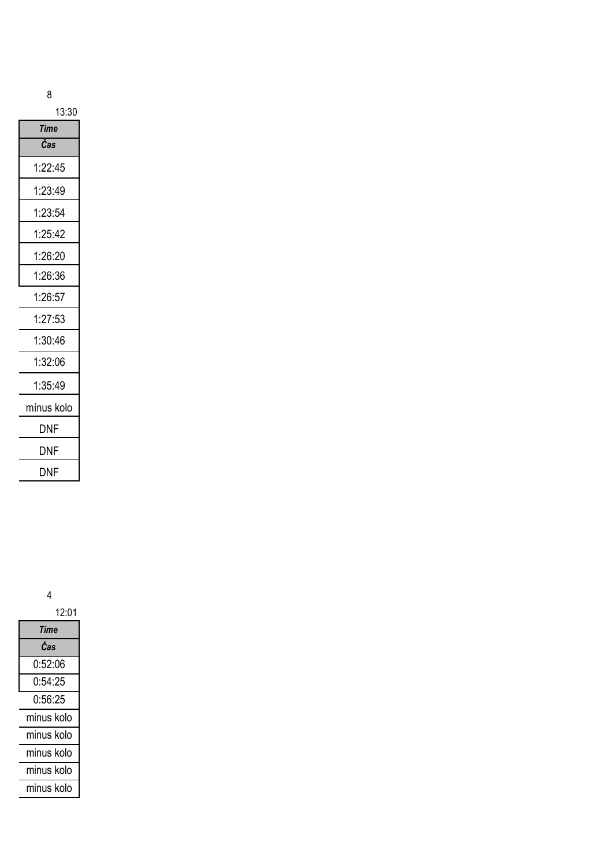|   | ۰.<br>원 사 |    |         |  |
|---|-----------|----|---------|--|
|   | I<br>ı    |    |         |  |
| ĉ | ×         | ۰. | ۰,<br>٦ |  |

| 13:30      |  |
|------------|--|
| Time       |  |
| Čas        |  |
| 1:22:45    |  |
| 1:23:49    |  |
| 1:23:54    |  |
| 1:25:42    |  |
| 1:26:20    |  |
| 1:26:36    |  |
| 1:26:57    |  |
| 1:27:53    |  |
| 1:30:46    |  |
| 1:32:06    |  |
| 1:35:49    |  |
| mínus kolo |  |
| DNF        |  |
| DNF        |  |
| DNF        |  |

| 12:01      |  |  |
|------------|--|--|
| Time       |  |  |
| Čas        |  |  |
| 0:52:06    |  |  |
| 0:54:25    |  |  |
| 0:56:25    |  |  |
| minus kolo |  |  |
| minus kolo |  |  |
| minus kolo |  |  |
| minus kolo |  |  |
| minus kolo |  |  |
|            |  |  |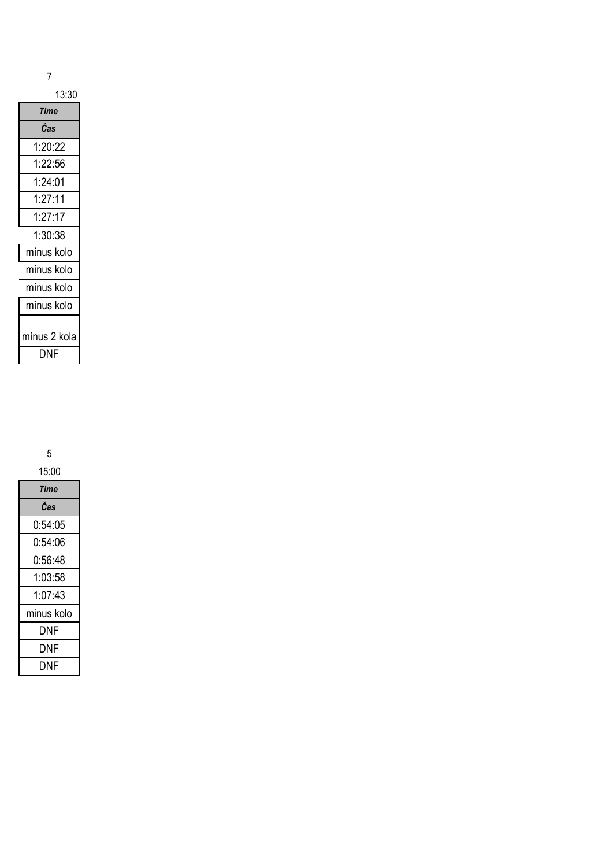| 13:30        |  |  |
|--------------|--|--|
| Time         |  |  |
| Čas          |  |  |
| 1:20:22      |  |  |
| 1:22:56      |  |  |
| 1:24:01      |  |  |
| 1:27:11      |  |  |
| 1:27:17      |  |  |
| 1:30:38      |  |  |
| mínus kolo   |  |  |
| mínus kolo   |  |  |
| mínus kolo   |  |  |
| mínus kolo   |  |  |
| mínus 2 kola |  |  |
| DNF          |  |  |

| 15:00      |
|------------|
| Time       |
| Čas        |
| 0:54:05    |
| 0:54:06    |
| 0:56:48    |
| 1:03:58    |
| 1:07:43    |
| minus kolo |
| DNF        |
| DNF        |
| DNF        |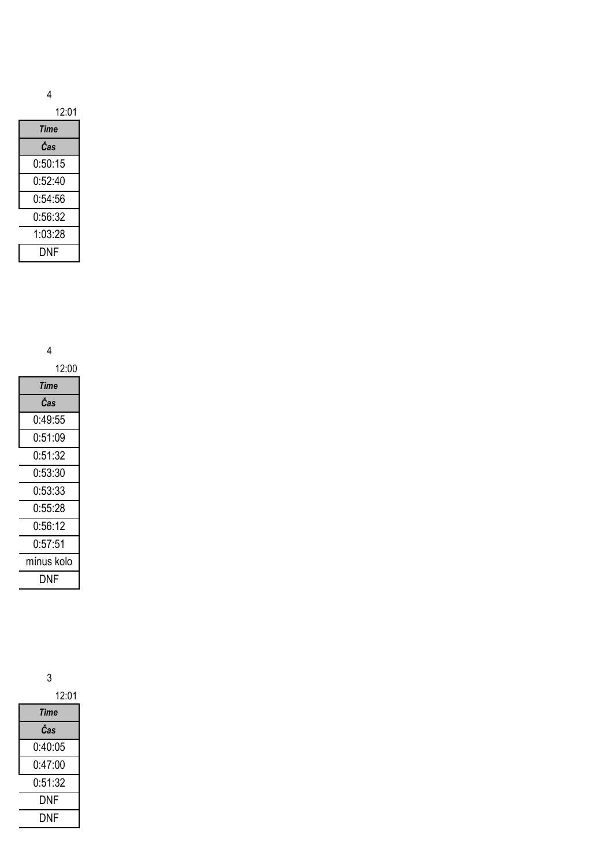| Time    |
|---------|
| Čas     |
| 0:50:15 |
| 0:52:40 |
| 0:54:56 |
| 0:56:32 |
| 1:03:28 |
| DNF     |

4

| 12:00      |  |  |  |
|------------|--|--|--|
| Time       |  |  |  |
| Čas        |  |  |  |
| 0:49:55    |  |  |  |
| 0:51:09    |  |  |  |
| 0:51:32    |  |  |  |
| 0:53:30    |  |  |  |
| 0:53:33    |  |  |  |
| 0:55:28    |  |  |  |
| 0:56:12    |  |  |  |
| 0:57:51    |  |  |  |
| mínus kolo |  |  |  |
| DNF        |  |  |  |

| 12:01                |
|----------------------|
| Time                 |
| Čas                  |
| 0:40:05              |
| 0 <sup>.</sup> 47.00 |
| 0:51:32              |
| DNF                  |
| DNF                  |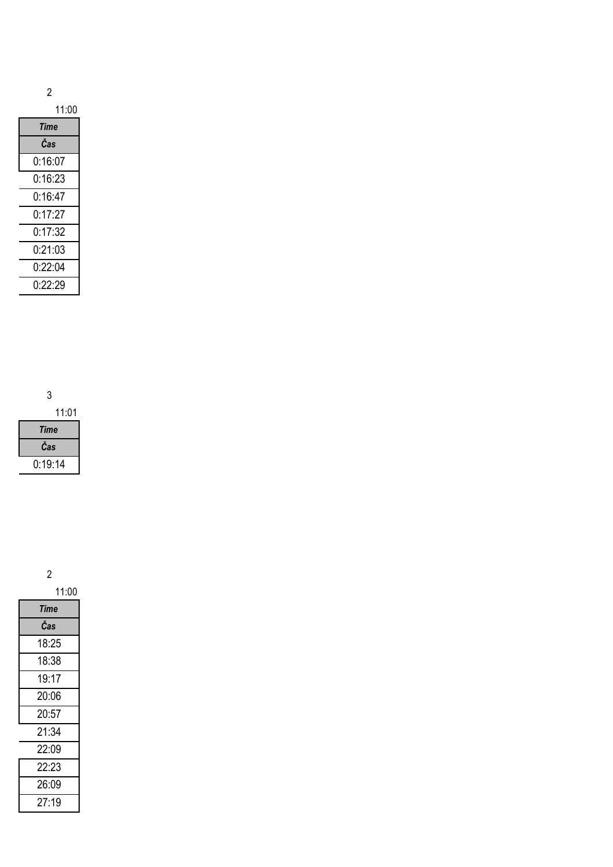| 11:00   |
|---------|
| Time    |
| Čas     |
| 0:16:07 |
| 0:16:23 |
| 0:16:47 |
| 0:17:27 |
| 0:17:32 |
| 0:21:03 |
| 0:22:04 |
| 0:22:29 |

3

11:01 *Time Čas* 0:19:14

| 11:00       |
|-------------|
| <b>Time</b> |
| Čas         |
| 18:25       |
| 18:38       |
| 19:17       |
| 20:06       |
| 20:57       |
| 21:34       |
| 22:09       |
| 22:23       |
| 26:09       |
| 27:19       |
|             |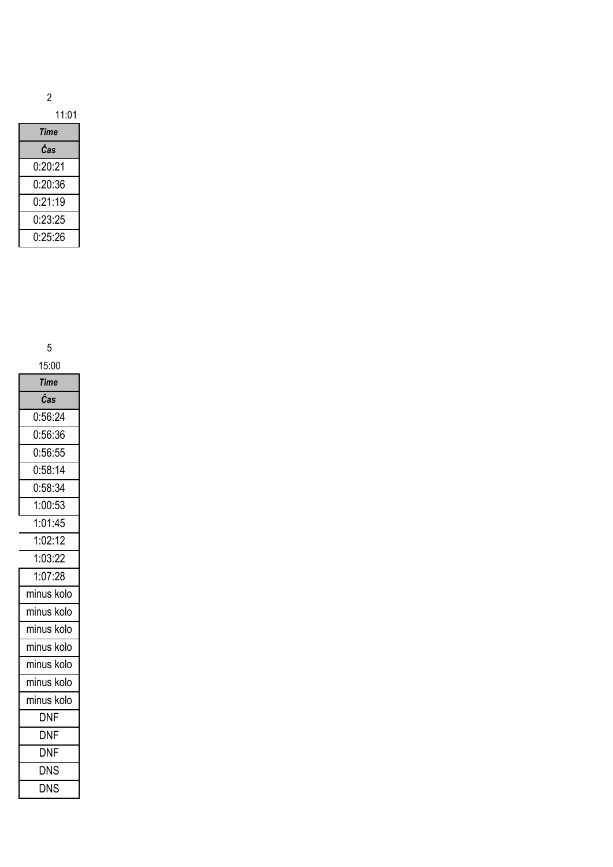| 1 | 1<br>.(J |
|---|----------|
|---|----------|

| Time    |
|---------|
| Čas     |
| 0∙20∙21 |
| 0:20:36 |
| 0:21:19 |
| 0:23:25 |
| በ∙25∙26 |

| 15:00                |
|----------------------|
| <b>Time</b>          |
| Čas                  |
| 0:56:24              |
| 0:56:36              |
| 0:56:55              |
| 0:58:14              |
| 0:58:34              |
| 1:00:53              |
| 1:01:45              |
| 1:02:12              |
| 1:03:22              |
| 1:07:28              |
| minus kolo           |
| minus kolo           |
| minus kolo           |
| minus kolo           |
| minus kolo           |
| minus kolo           |
| minus kolo           |
| <b>DNF</b>           |
| <b>DNF</b>           |
| $\overline{\sf DNF}$ |
| <b>DNS</b>           |
| <b>DNS</b>           |
|                      |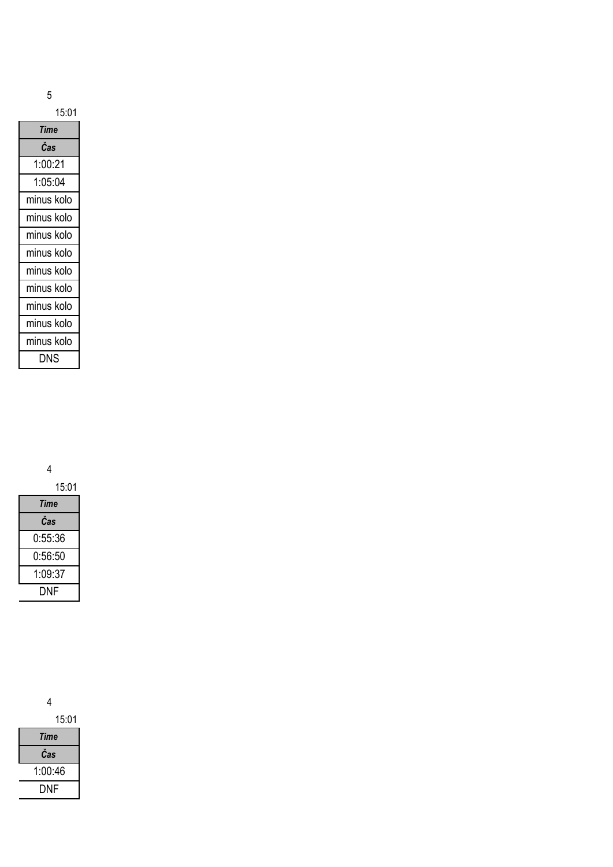| ٦<br>R) |  |
|---------|--|

| <b>Time</b> |  |
|-------------|--|
| Čas         |  |
| 1:00:21     |  |
| 1:05:04     |  |
| minus kolo  |  |
| minus kolo  |  |
| minus kolo  |  |
| minus kolo  |  |
| minus kolo  |  |
| minus kolo  |  |
| minus kolo  |  |
| minus kolo  |  |
| minus kolo  |  |
| DNS         |  |

4

| 15:01   |  |
|---------|--|
| Time    |  |
| Čas     |  |
| 0:55:36 |  |
| 0:56:50 |  |
| 1:09:37 |  |
| DNF     |  |

| 15:01   |  |
|---------|--|
| Time    |  |
| Čas     |  |
| 1:00:46 |  |
| DNF     |  |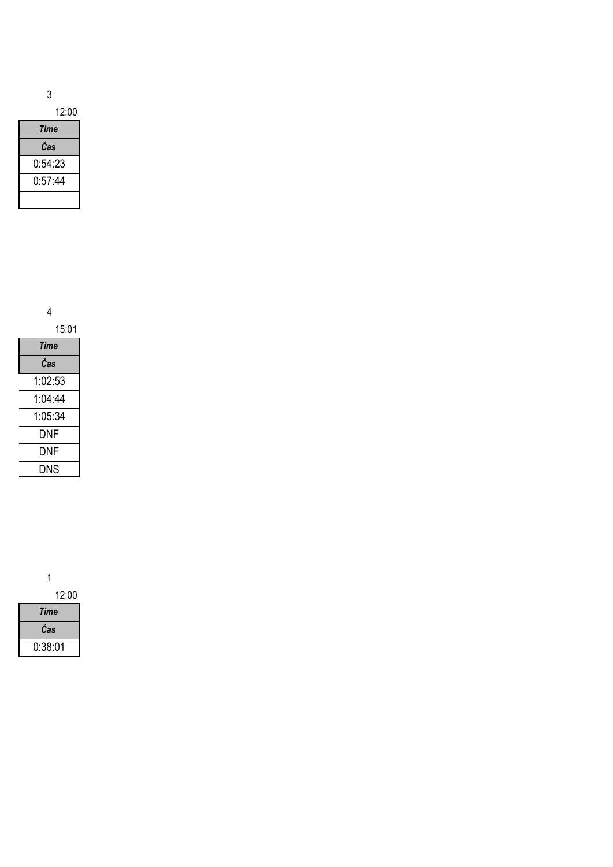12:00

| Time    |
|---------|
| Čas     |
| 0:54:23 |
| 0:57:44 |
|         |

4

| 15:01   |  |
|---------|--|
| Time    |  |
| Čas     |  |
| 1:02:53 |  |
| 1 04 44 |  |
| 1:05:34 |  |
| DNF     |  |
| DNF     |  |
| DNS     |  |

1

12:00

| Time    |  |
|---------|--|
| Cas     |  |
| 0:38:01 |  |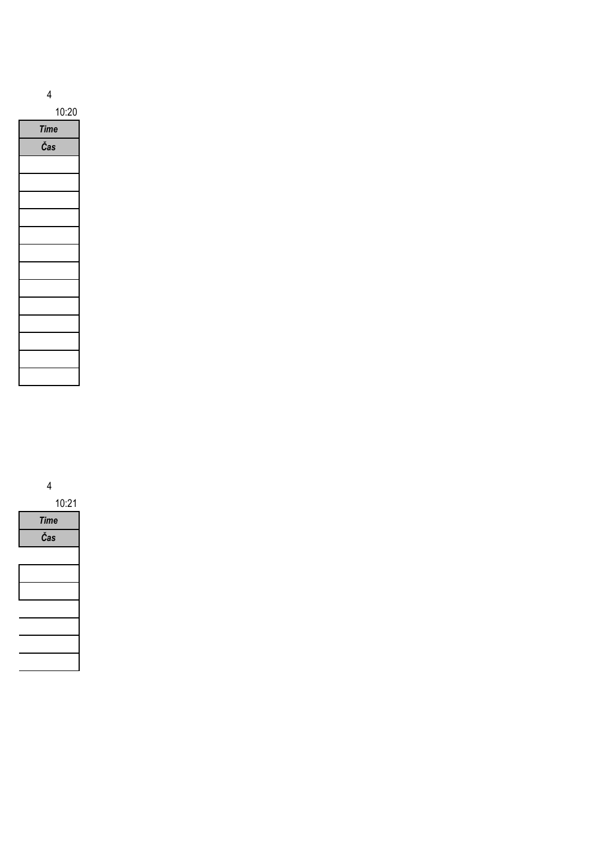| ш |
|---|
|   |

10:20

| <b>Time</b> |
|-------------|
| Čas         |
|             |
|             |
|             |
|             |
|             |
|             |
|             |
|             |
|             |
|             |
|             |
|             |
|             |
|             |

4

10:21 *Time Čas*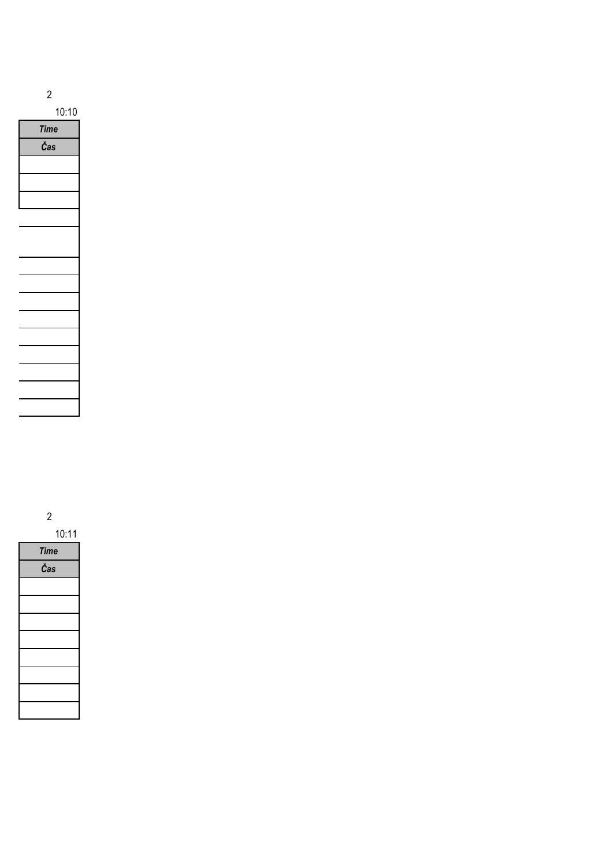

10:10

| <b>Time</b> |
|-------------|
| Čas         |
|             |
|             |
|             |
|             |
|             |
|             |
|             |
|             |
|             |
|             |
|             |
|             |
|             |
|             |
|             |

2 10:11

| <b>Time</b> |
|-------------|
| Čas         |
|             |
|             |
|             |
|             |
|             |
|             |
|             |
|             |